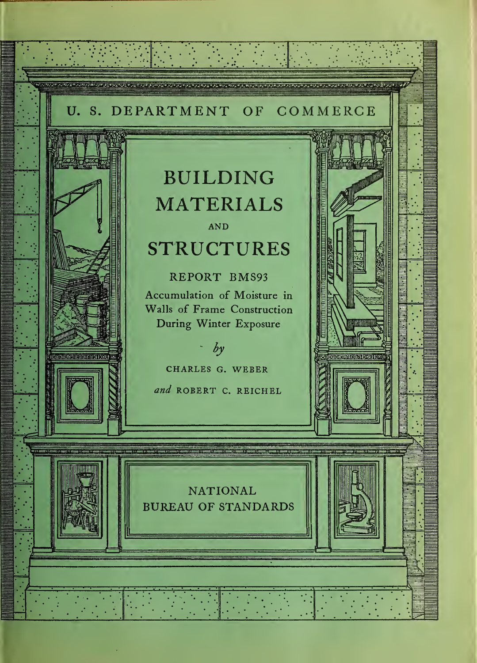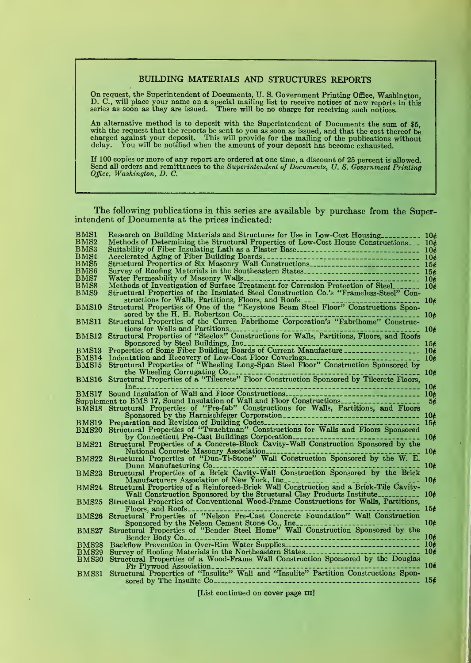#### BUILDING MATERIALS AND STRUCTURES REPORTS

On request, the Superintendent of Documents, U.S. Government Printing Office, Washington, D. C., will place your name on a special mailing list to receive notices of new reports in this series as soon as they are issued. T

An alternative method is to deposit with the Superintendent of Documents the sum of \$5,<br>with the request that the reports be sent to you as soon as issued, and that the cost thereof be<br>charged against your deposit. This wi

If 100 copies or more of any report are ordered at one time, a discount of 25 percent is allowed.<br>Send all orders and remittances to the Superintendent of Documents, U. S. Government Printing<br>Office, Washington, D. C.

The following publications in this series are available by purchase from the Superintendent of Documents at the prices indicated:

| $_{\rm BMS1}$                | Research on Building Materials and Structures for Use in Low-Cost Housing-                                                                  |                 |
|------------------------------|---------------------------------------------------------------------------------------------------------------------------------------------|-----------------|
| $_{\rm BMS2}$                | Methods of Determining the Structural Properties of Low-Cost House Constructions <sub>---</sub> 10¢                                         |                 |
| $_{\rm BMS3}$                |                                                                                                                                             |                 |
| $_{\rm BMS4}$                |                                                                                                                                             |                 |
| $_{\rm BMSS}$                |                                                                                                                                             |                 |
| $_{\rm BMS6}$                | Survey of Roofing Materials in the Southeastern States_____________________________ 15¢                                                     |                 |
| $_{\rm BMS7}$                |                                                                                                                                             |                 |
| BMS8                         | Water Permeability of Masonry Walls                                                                                                         |                 |
| BMS9                         | Structural Properties of the Insulated Steel Construction Co.'s "Frameless-Steel" Con-                                                      |                 |
|                              |                                                                                                                                             | 10 <sub>e</sub> |
| <b>BMS10</b>                 |                                                                                                                                             |                 |
|                              | -------- 10é                                                                                                                                |                 |
| $_{\rm BMS11}$               | sored by the H. H. Robertson Communication of the Current Pabrihome Corporation's "Fabrihome" Construc-                                     |                 |
|                              | tions for Walls and Partitions                                                                                                              | --- 10é         |
| <b>BMS12</b>                 | Structural Properties of "Steelox" Constructions for Walls, Partitions, Floors, and Roofs                                                   |                 |
|                              |                                                                                                                                             |                 |
| BMS13                        |                                                                                                                                             |                 |
| <b>BMS14</b>                 |                                                                                                                                             |                 |
| <b>BMS15</b>                 | Indentation and Recovery of Low-Cost Floor Coverings<br>Structural Properties of "Wheeling Long-Span Steel Floor" Construction Sponsored by |                 |
|                              |                                                                                                                                             |                 |
| BMS16                        | the Wheeling Corrugating Concerns of a "Tilecrete" Floor Construction Sponsored by Tilecrete Floors,                                        |                 |
|                              | $Inc_{---}$<br>--------------------------------- 106                                                                                        |                 |
| $_{\rm BMS17}$               | Sound Insulation of Wall and Floor Constructions <sub>--------------------------------</sub> 10¢                                            |                 |
|                              | Supplement to BMS 17, Sound Insulation of Wall and Floor Constructions                                                                      | 56              |
|                              | BMS18 Structural Properties of "Pre-fab" Constructions for Walls, Partitions, and Floors                                                    |                 |
|                              |                                                                                                                                             |                 |
| <b>BMS19</b>                 |                                                                                                                                             |                 |
| <b>BMS20</b>                 |                                                                                                                                             |                 |
|                              | by Connecticut Pre-Cast Buildings Corporation                                                                                               | 10e             |
| BMS21                        |                                                                                                                                             |                 |
|                              | National Concrete Masonry Association----------------------                                                                                 | 10e             |
| <b>BMS22</b>                 | Structural Properties of "Dun-Ti-Stone" Wall Construction Sponsored by the W. E.                                                            |                 |
|                              | Dunn Manufacturing Communication of a Brick Cavity-Wall Construction Sponsored by the Brick                                                 | 10e             |
| <b>BMS23</b>                 |                                                                                                                                             |                 |
|                              | Manufacturers Association of New York, Inc.                                                                                                 | – 10e           |
| ${\rm BMS24}$                | Structural Properties of a Reinforced-Brick Wall Construction and a Brick-Tile Cavity-                                                      |                 |
|                              |                                                                                                                                             |                 |
| $_{\rm BMS25}$               | Structural Properties of Conventional Wood-Frame Constructions for Walls, Partitions,                                                       |                 |
|                              | Floors, and Roofs.                                                                                                                          | ._ 156          |
| <b>BMS26</b>                 | Structural Properties of "Nelson Pre-Cast Concrete Foundation" Wall Construction                                                            |                 |
|                              |                                                                                                                                             | 10 <sub>t</sub> |
| <b>BMS27</b>                 | Bender Body Co.                                                                                                                             |                 |
|                              |                                                                                                                                             |                 |
| <b>BMS28</b><br><b>BMS29</b> |                                                                                                                                             |                 |
| <b>BMS30</b>                 | Structural Properties of a Wood-Frame Wall Construction Sponsored by the Douglas                                                            |                 |
|                              | . 10é<br>Fir Plywood Association_                                                                                                           |                 |
| <b>BMS31</b>                 | Structural Properties of "Insulite" Wall and "Insulite" Partition Constructions Spon-                                                       |                 |
|                              |                                                                                                                                             |                 |
|                              |                                                                                                                                             |                 |

[List continued on cover page III]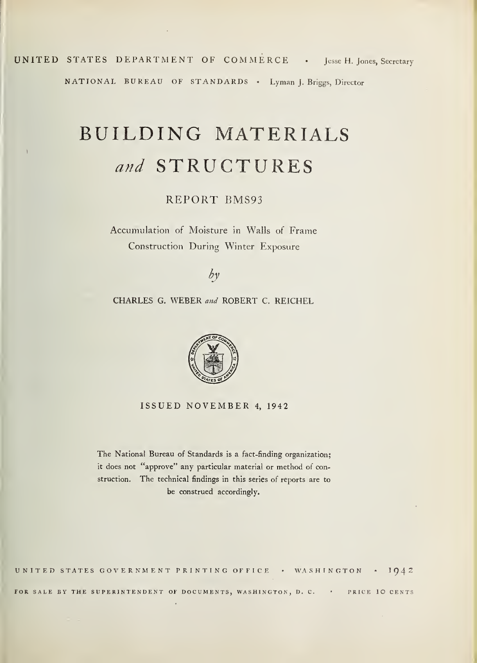UNITED STATES DEPARTMENT OF COMMERCE • <sup>J</sup> esse H. Jones, Secretary NATIONAL BUREAU OF STANDARDS • Lyman J. Briggs, Director

# BUILDING MATERIALS and STRUCTURES

#### REPORT BMS93

Accumulation of Moisture in Walls of Frame Construction During Winter Exposure

by

CHARLES G. WEBER and ROBERT C. REICHEL



ISSUED NOVEMBER 4, <sup>1942</sup>

The National Bureau of Standards is a fact-finding organization; it does not "approve" any particular material or method of construction. The technical findings in this series of reports are to be construed accordingly.

UNITED STATES GOVERNMENT PRINTING OFFICE • WASHINGTON • 1042 FOR SALE BV THE SUPERINTENDENT OF DOCUMENTS, WASHINGTON, D. C. • PRICE lO CENTS

l.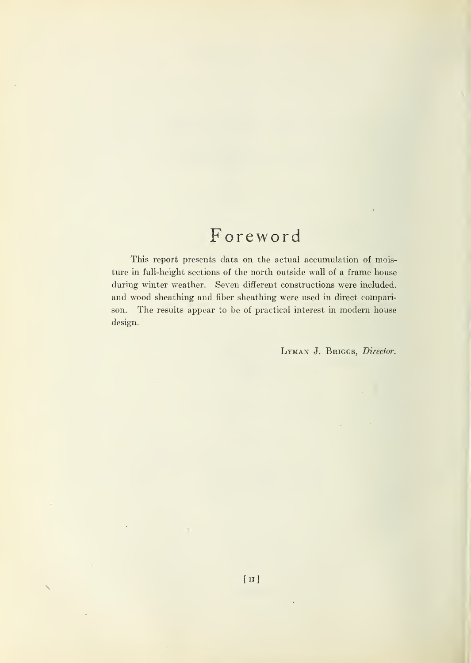## Foreword

This report presents data on the actual accumulation of moisture in full-height sections of the north outside wall of a frame house during winter weather. Seven different constructions were included, and wood sheathing and fiber sheathing were used in direct comparison. The results appear to be of practical interest in modern house design.

LYMAN J. BRIGGS, Director.

۰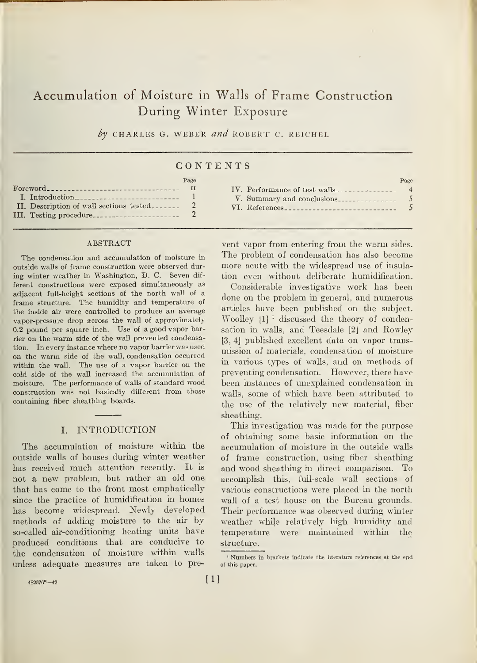### Accumulation of Moisture in Walls of Frame Construction During Winter Exposure

 $by$  CHARLES G. WEBER and ROBERT C. REICHEL

#### CONTENTS

|                 | Page |                                                          | Page |
|-----------------|------|----------------------------------------------------------|------|
| I. Introduction |      | VI. References <sub>----------------------------</sub> 5 |      |

#### ABSTRACT

The condensation and accumulation of moisture in outside walls of frame construction were observed during winter weather in Washington, D. C. Seven dif ferent constructions were exposed simultaneously as adjacent full-height sections of the north wall of a frame structure. The humidity and temperature of the inside air were controlled to produce an average vapor-pressure drop across the waU of approximately 0.2 pound per square inch. Use of a good vapor barrier on the warm side of the waU prevented condensation. In every instance where no vapor barrier was used on the warm side of the wall, condensation occurred within the wall. The use of a vapor barrier on the cold side of the waU increased the accumulation of moisture. The performance of walls of standard wood construction was not basically different from those containing fiber sheathing boards.

#### I. INTRODUCTION

The accumulation of moisture within the outside walls of houses during winter w^eather has received much attention recently. It is not a new problem, but rather an old one that has come to the front most emphatically since the practice of humidification in homes has become widespread. Newly developed methods of adding moisture to the air by so-called air-conditioning heating units have produced conditions that are conducive to the condensation of moisture within walls unless adequate measures are taken to prevent vapor from entering from the warm sides. The problem of condensation has also become more acute with the widespread use of insulation even without deliberate humidification.

Considerable investigative work has been done on the problem in general, and numerous articles have been published on the subject. Woolley  $[1]$ <sup>1</sup> discussed the theory of condensation in walls, and Teesdale [2] and Rowley [3, 4J published excellent data on vapor trans mission of materials, condensation of moisture in various types of walls, and on methods of preventing condensation. However, there have been instances of unexplained condensation in walls, some of which have been attributed to the use of the relatively new material, fiber sheathing.

This investigation was made for the purpose of obtaming some basic information on the accumulation of moisture in the outside walls of frame construction, using fiber sheathing and wood sheathing in direct comparison. To accomplish this, full-scale wall sections of various constructions were placed in the north wall of a test house on the Bureau grounds. Their performance was observed during winter weather while relatively high humidity and temperature were maintained withm the structure.

I Numbers in brackets indicate the literature references at the end of this paper.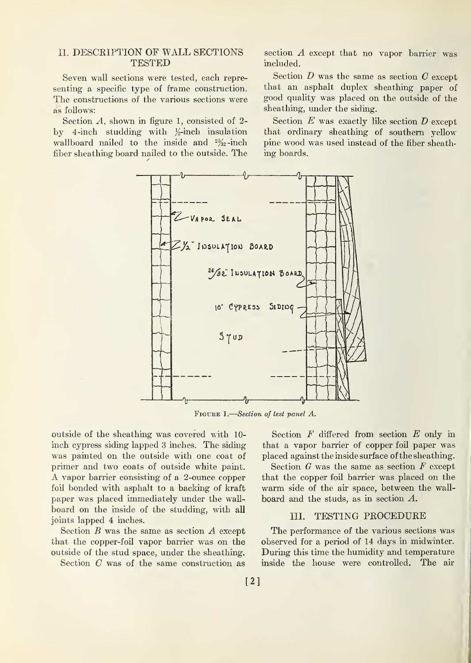#### II. DESCKIPTION OF WALL SECTIONS TESTED

Seven wall sections were tested, each repre senting a specific type of frame construction. The constructions of the various sections were as follows:

Section A, shown in figure 1, consisted of 2 by 4-inch studding with  $\frac{1}{2}$ -inch insulation wallboard nailed to the inside and  $2\frac{5}{32}$ -inch fiber sheathing board nailed to the outside. The

section A except that no vapor barrier was included.

Section  $D$  was the same as section  $C$  except that an asphalt duplex sheathing paper of good quality was placed on the outside of the sheathing, under the siding.

Section  $E$  was exactly like section  $D$  except that ordinary sheathing of southern yellow pine wood was used instead of the fiber sheathing boards.



FIGURE 1.—Section of test panel A.

outside of the sheathing was covered with 10 inch cypress siding lapped 3 inches. The siding was painted on the outside with one coat of primer and two coats of outside white paint. A vapor barrier consisting of <sup>a</sup> <sup>2</sup> -ounce copper foil bonded with asphalt to a backing of kraft paper was placed immediately under the wallboard on the inside of the studding, with aU joints lapped 4 inches.

Section  $B$  was the same as section  $A$  except that the copper-foil vapor barrier was on the outside of the stud space, under the sheathing.

Section C was of the same construction as

Section  $F$  differed from section  $E$  only in that a vapor barrier of copper foil paper was placed against the inside surface of the sheathing.

Section  $G$  was the same as section  $F$  except that the copper foil barrier was placed on the warm side of the air space, between the wallboard and the studs, as in section A.

#### III. TESTING PROCEDURE

The performance of the various sections was observed for a period of 14 days in midwinter. During this time the humidity and temperature inside the house were controlled. The air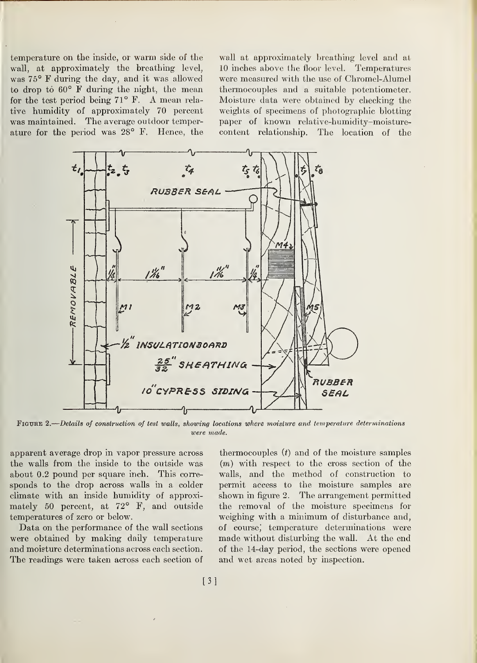temperature on the inside, or warm side of the wall, at approximately the breathing level, was 75° F during the day, and it was allowed to drop to 60° F during the night, the mean for the test period being 71° F. A mean rela tive humidity of approximately 70 percent was maintained. The average outdoor temperature for the period was 28° F. Hence, the

————————————————

wall at approximately breathing level and at 10 inches above the floor level. Temperatures were measured with the use of Chromel-Alumel thermocouples and a suitable potentiometer. Moisture data were obtained by checking the weights of specimens of photographic blotting paper of known relative-humidity-moisturecontent relationship. The location of the



Figure 2. Details of construction of test walls, showing locations where moisture and temperature determinations were made.

apparent average drop in vapor pressure across the walls from the inside to the outside was about 0.2 pound per square inch. This corre sponds to the drop across walls in a colder climate with an inside humidity of approximately 50 percent, at 72° F, and outside temperatures of zero or below.

Data on the performance of the wall sections were obtained by making daily temperature and moisture determinations across each section. The readings were taken across each section of

thermocouples  $(t)$  and of the moisture samples (m) with respect to the cross section of the walls, and the method of construction to permit access to the moisture samples are shown in figure 2. The arrangement permitted the removal of the moisture specimens for weighing with a minimum of disturbance and, of course, temperature determinations were made without disturbing the wall. At the end of the 14-day period, the sections were opened and wet areas noted by inspection.

[3]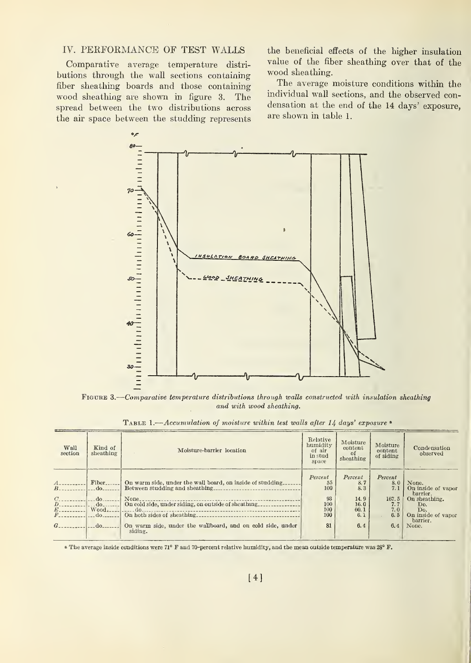#### IV. PERFOEMANCE OF TEST WALLS

Comparative average temperature distri butions through the wall sections containing fiber sheathing boards and those containing wood sheathing are shown in figure 3. The spread between the two distributions across the air space between the studding represents the beneficial effects of the higher insulation value of the fiber sheathing over that of the wood sheathing.

The average moisture conditions within the individual wall sections, and the observed con densation at the end of the 14 days' exposure, are shown in table 1.



FIGURE 3.—Comparative temperature distributions through walls constructed with insulation sheathing and with wood sheathing.

| Wall<br>section                                   | Kind of<br>sheathing                                                                                               | Moisture-barrier location                                                                                                                                                                                                                                                      | Relative<br>humidity<br>of air<br>in stud<br>space    | Moisture<br>content<br>οf<br>sheathing                      | Moisture<br>content<br>of siding                           | Condensation<br>observed                                                                                          |
|---------------------------------------------------|--------------------------------------------------------------------------------------------------------------------|--------------------------------------------------------------------------------------------------------------------------------------------------------------------------------------------------------------------------------------------------------------------------------|-------------------------------------------------------|-------------------------------------------------------------|------------------------------------------------------------|-------------------------------------------------------------------------------------------------------------------|
| R<br>$\overline{C}$<br>$D_{\alpha}$<br>F<br>$G$ . | $Fiber$ <sub></sub><br>$d\alpha$<br>$d\rho$ <sub>------</sub><br>$d\Omega$<br>Wood <sub>1</sub><br>$d_{0}$<br>-do- | On warm side, under the wall board, on inside of studding<br>Between studding and sheathing<br>None<br>On cold side, under siding, on outside of sheathing<br>$d\alpha$<br>On hoth sides of sheathing<br>On warm side, under the wallboard, and on cold side, under<br>siding. | Percent<br>55<br>100<br>93<br>100<br>100<br>100<br>81 | Percent<br>8.7<br>8.3<br>14.9<br>16.0<br>60.1<br>6.1<br>6.4 | Percent<br>8.0<br>7.1<br>167.5<br>7.7<br>7.0<br>6.5<br>6.4 | None.<br>On inside of vapor<br>barrier.<br>On sheathing.<br>Do.<br>Do.<br>On inside of vapor<br>barrier.<br>None. |

TABLE 1.—Accumulation of moisture within test walls after  $14$  days' exposure  $^{\circ}$ 

<sup>a</sup> The average inside ccmditions were 71° F and 70-percent relative humidity, and the mean outside temperature was 28° F.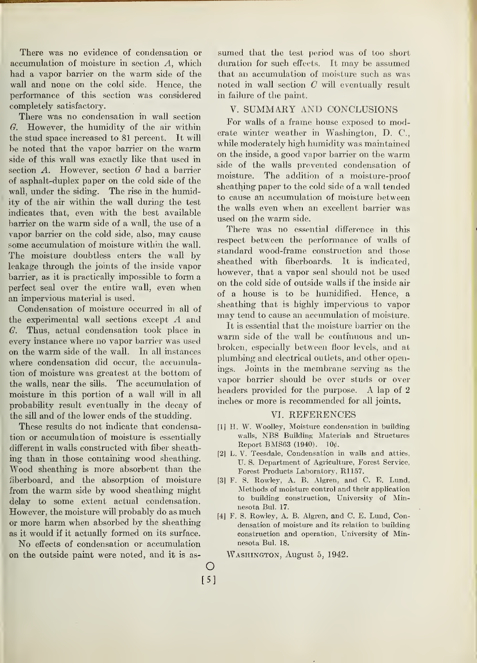There was no evidence of condensation or accumulation of moisture in section A, which had a vapor barrier on the warm side of the wall and none on the cold side. Hence, the performance of this section was considered completely satisfactory.

There was no condensation in wall section G. However, the humidity of the air within the stud space increased to 81 percent. It will be noted that the vapor barrier on the warm side of this wall was exactly like that used in section  $A$ . However, section  $G$  had a barrier of asphalt-duplex paper on the cold side of the wall, under the siding. The rise in the humidity of the air within the wall during the test indicates that, even with the best available barrier on the warm side of a wall, the use of a vapor barrier on the cold side, also, may cause some accumulation of moisture within the wall. The moisture doubtless enters the wall by leakage through the joints of the inside vapor barrier, as it is practically impossible to form a perfect seal over the entire wall, even when an impervious material is used.

Condensation of moisture occurred in all of the experimental wall sections except  $A$  and G. Thus, actual condensation took place in every instance where no vapor barrier was used on the warm side of the wall. In all instances where condensation did occur, the accumulation of moisture was greatest at the bottom of the walls, near the sills. The accumulation of moisture in this portion of a waU will in all probability result eventually in the decay of the siU and of the lower ends of the studding.

These results do not indicate that condensation or accumulation of moisture is essentially different in waUs constructed with fiber sheathing than in those containing wood sheathing. Wood sheathing is more absorbent than the fiberboard, and the absorption of moisture from the warm side by wood sheathing might delay to some extent actual condensation. However, the moisture will probably do as much or more harm when absorbed by the sheathing as it would if it actually formed on its surface.

No effects of condensation or accumulation on the outside paint were noted, and it is as-

sumed that the test period was of too short duration for such effects. It may be assumed that an accumulation of moisture such as was noted in wall section  $C$  will eventually result m failure of the paint.

#### V. SUMMARY AND CONCLUSIONS

For walls of a frame house exposed to moderate winter weather in Washington, D. C, while moderately high humidity was maintained on the inside, a good vapor barrier on the warm side of the walls prevented condensation of moisture. The addition of a moisture-proof sheathing paper to the cold side of a wall tended to cause an accumulation of moisture between the walls even when an excellent barrier was used on the warm side.

There was no essential difference in this respect between the performance of walls of standard wood-frame construction and those sheathed with fiberboards. It is indicated, however, that a vapor seal should not be used on the cold side of outside walls if the inside air of a house is to be humidified. Hence, a sheathing that is highly impervious to vapor may tend to cause an accumulation of moisture.

It is essential that the moisture barrier on the warm side of the wall be continuous and unbroken, especially between floor levels, and at plumbing and electrical outlets, and other openings. Joints in the membrane serving as the vapor barrier should be over studs or over headers provided for the purpose. A lap of <sup>2</sup> inches or more is recommended for all joints.

#### VI. REFERENCES

- [1] H. W. Woolley, Moisture condensation in building walls, NBS Building Materials and Structures Report BMS63 (1940).  $10¢$ .
- [2] L. V. Teesdale, Condensation in walls and attics, U. S. Department of Agriculture, Forest Service, Forest Products Laboratory, R1157.
- [3] F. S. Rowley, A. B. Algren, and C. E. Lund, Methods of moisture control and their application to building construction, University of Minnesota Bui. 17.
- f4J F. S. Rowley, A. B. Algren, and C. E. Lund, Condensation of moisture and its relation to building construction and operation, University of Minnesota Bui. 18.

WASHINGTON, August 5, 1942.

 $\bigcirc$  $[5]$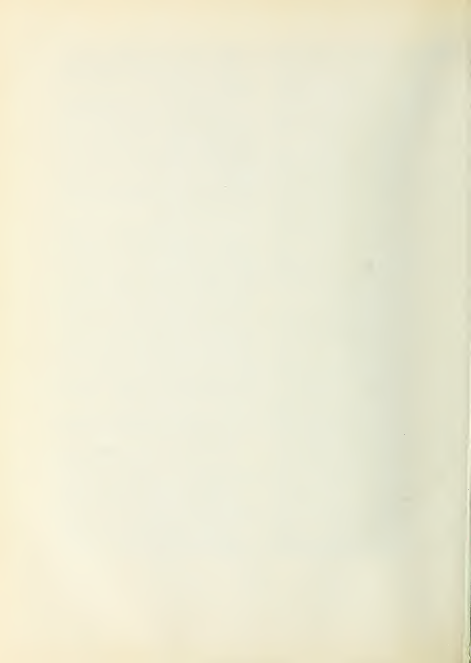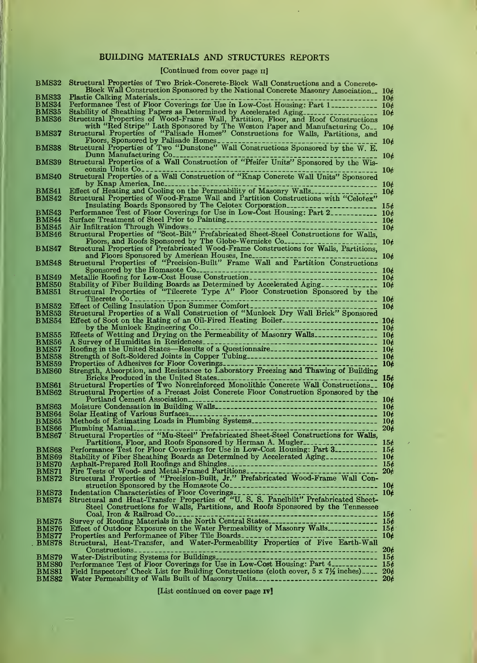#### BUILDING MATERIALS AND STRUCTURES REPORTS

 $\epsilon$ 

[Continued from cover page  $\text{II}$ ]

| <b>BMS32</b>          | Structural Properties of Two Brick-Concrete-Block Wall Constructions and a Concrete-                                                                                                                              |                 |
|-----------------------|-------------------------------------------------------------------------------------------------------------------------------------------------------------------------------------------------------------------|-----------------|
|                       | Block Wall Construction Sponsored by the National Concrete Masonry Association__ 10¢                                                                                                                              |                 |
| <b>BMS33</b>          | Plastic Calking Materials                                                                                                                                                                                         |                 |
| <b>BMS34</b>          | Performance Test of Floor Coverings for Use in Low-Cost Housing: Part 1_____________ 10¢                                                                                                                          |                 |
| BMS35                 |                                                                                                                                                                                                                   |                 |
| <b>BMS36</b>          | Structural Properties of Wood-Frame Wall, Partition, Floor, and Roof Constructions                                                                                                                                |                 |
|                       | with "Red Stripe" Lath Sponsored by The Weston Paper and Manufacturing Co.                                                                                                                                        | 10 <sub>t</sub> |
| <b>BMS37</b>          | Structural Properties of "Palisade Homes" Constructions for Walls, Partitions, and                                                                                                                                |                 |
|                       |                                                                                                                                                                                                                   | 10 <sub>t</sub> |
| <b>BMS38</b>          |                                                                                                                                                                                                                   |                 |
|                       |                                                                                                                                                                                                                   | $10\epsilon$    |
| <b>BMS39</b>          | Dunn Manufacturing Communication of "Pfeifer Units" Sponsored by the Wis-                                                                                                                                         |                 |
|                       | consin Units Co                                                                                                                                                                                                   |                 |
|                       |                                                                                                                                                                                                                   | 10 <sub>c</sub> |
| <b>BMS40</b>          | Structural Properties of a Wall Construction of "Knap Concrete Wall Units" Sponsored                                                                                                                              |                 |
|                       |                                                                                                                                                                                                                   |                 |
| $_{\rm BMS41}$        |                                                                                                                                                                                                                   |                 |
| $_{\rm BMS42}$        | Structural Properties of Wood-Frame Wall and Partition Constructions with "Celotex'                                                                                                                               |                 |
|                       | Insulating Boards Sponsored by The Celotex Corporation                                                                                                                                                            |                 |
| <b>BMS43</b>          |                                                                                                                                                                                                                   |                 |
| BMS44                 |                                                                                                                                                                                                                   |                 |
| <b>BMS45</b>          | Air Infiltration Through Windows<br>Structural Properties of "Scot-Bilt" Prefabricated Sheet-Steel Constructions for Walls,                                                                                       |                 |
| <b>BMS46</b>          |                                                                                                                                                                                                                   |                 |
|                       |                                                                                                                                                                                                                   |                 |
| <b>BMS47</b>          |                                                                                                                                                                                                                   |                 |
|                       |                                                                                                                                                                                                                   |                 |
| BMS48                 | Structural Properties of "Precision-Built" Frame Wall and Partition Constructions                                                                                                                                 |                 |
|                       |                                                                                                                                                                                                                   |                 |
|                       |                                                                                                                                                                                                                   |                 |
| <b>BMS49</b>          | Metallic Roofing for Low-Cost House Construction                                                                                                                                                                  |                 |
| <b>BMS50</b>          | Stability of Fiber Building Boards as Determined by Accelerated Aging.                                                                                                                                            |                 |
| <b>BMS51</b>          |                                                                                                                                                                                                                   |                 |
|                       |                                                                                                                                                                                                                   |                 |
| <b>BMS52</b>          |                                                                                                                                                                                                                   |                 |
| <b>BMS53</b>          |                                                                                                                                                                                                                   |                 |
| <b>BMS54</b>          | Effect of Soot on the Rating of an Oil-Fired Heating Boiler----------------------- 10¢                                                                                                                            |                 |
|                       |                                                                                                                                                                                                                   |                 |
| <b>BMS55</b>          |                                                                                                                                                                                                                   |                 |
|                       |                                                                                                                                                                                                                   |                 |
|                       |                                                                                                                                                                                                                   |                 |
| <b>BMS56</b>          |                                                                                                                                                                                                                   |                 |
| <b>BMS57</b>          | Roofing in the United States-Results of a Questionnaire-------------------------- 10¢                                                                                                                             |                 |
| <b>BMS58</b>          |                                                                                                                                                                                                                   |                 |
| BMS59                 |                                                                                                                                                                                                                   |                 |
| <b>BMS60</b>          | Properties of Adhesives for Floor Coverings<br>Strength, Absorption, and Resistance to Laboratory Freezing and Thawing of Building                                                                                |                 |
|                       |                                                                                                                                                                                                                   |                 |
| <b>BMS61</b>          | Structural Properties of Two Nonreinforced Monolithic Concrete Wall Constructions 106                                                                                                                             |                 |
| BMS62                 | Structural Properties of a Precast Joist Concrete Floor Construction Sponsored by the                                                                                                                             |                 |
|                       | Portland Cement Association                                                                                                                                                                                       |                 |
| <b>BMS63</b>          |                                                                                                                                                                                                                   |                 |
| <b>BMS64</b>          |                                                                                                                                                                                                                   |                 |
| BMS <sub>65</sub>     |                                                                                                                                                                                                                   |                 |
| <b>BMS66</b>          |                                                                                                                                                                                                                   |                 |
| <b>BMS67</b>          | Plumbing Manual<br>Structural Properties of "Mu-Steel" Prefabricated Sheet-Steel Constructions for Walls,                                                                                                         |                 |
|                       | Partitions, Floor, and Roofs Sponsored by Herman A. Mugler                                                                                                                                                        |                 |
| <b>BMS68</b>          |                                                                                                                                                                                                                   |                 |
| BMS <sub>69</sub>     |                                                                                                                                                                                                                   |                 |
| <b>BMS70</b>          |                                                                                                                                                                                                                   |                 |
| BMS71                 |                                                                                                                                                                                                                   |                 |
|                       |                                                                                                                                                                                                                   |                 |
| <b>BMS72</b>          | Structural Properties of "Precision-Built, Jr." Prefabricated Wood-Frame Wall Con-                                                                                                                                |                 |
| <b>BMS73</b>          |                                                                                                                                                                                                                   |                 |
| <b>BMS74</b>          |                                                                                                                                                                                                                   |                 |
|                       | Indentation Characteristics of Floor Coverings<br>Structural and Heat-Transfer Properties of "U.S. S. Panelbilt" Prefabricated Sheet-                                                                             |                 |
|                       | Steel Constructions for Walls, Partitions, and Roofs Sponsored by the Tennessee                                                                                                                                   |                 |
|                       | Coal, Iron & Railroad Connection-necessary-necessary-necessary-necessary-necessary-15¢                                                                                                                            |                 |
| <b>BMS75</b>          |                                                                                                                                                                                                                   |                 |
| $_{\rm BMS76}$        |                                                                                                                                                                                                                   |                 |
| BMS77                 |                                                                                                                                                                                                                   |                 |
| <b>BMS78</b>          | Properties and Performance of Fiber Tile Boards<br>Structural, Heat-Transfer, and Water-Permeability Properties of Five Earth-Wall                                                                                |                 |
|                       |                                                                                                                                                                                                                   |                 |
| <b>BMS79</b>          |                                                                                                                                                                                                                   |                 |
| <b>BMS80</b>          | Water-Distributing Systems for Buildings<br>Performance Test of Floor Coverings for Use in Low-Cost Housing: Part 4_________________ 15¢                                                                          |                 |
| <b>BMS81</b><br>BMS82 | Field Inspectors' Check List for Building Constructions (cloth cover, 5 x 7 <sup>1</sup> / <sub>2</sub> inches) _____ 20¢<br>Water Permeability of Walls Built of Masonry Units------------------------------ 20¢ |                 |

[List continued on cover page iv]